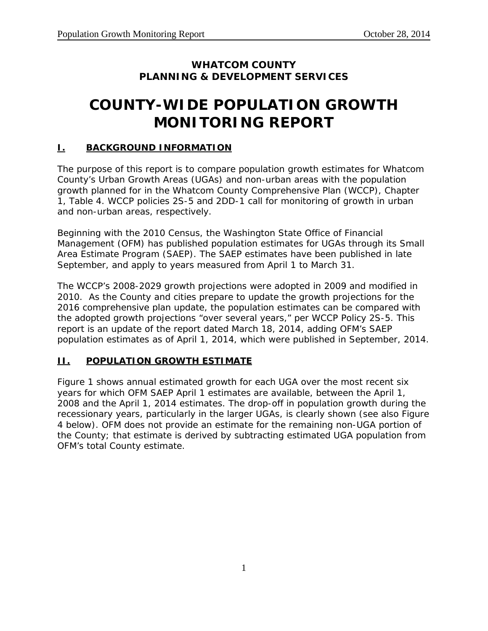## **WHATCOM COUNTY PLANNING & DEVELOPMENT SERVICES**

# **COUNTY-WIDE POPULATION GROWTH MONITORING REPORT**

#### **I. BACKGROUND INFORMATION**

The purpose of this report is to compare population growth estimates for Whatcom County's Urban Growth Areas (UGAs) and non-urban areas with the population growth planned for in the Whatcom County Comprehensive Plan (WCCP), Chapter 1, Table 4. WCCP policies 2S-5 and 2DD-1 call for monitoring of growth in urban and non-urban areas, respectively.

Beginning with the 2010 Census, the Washington State Office of Financial Management (OFM) has published population estimates for UGAs through its Small Area Estimate Program (SAEP). The SAEP estimates have been published in late September, and apply to years measured from April 1 to March 31.

The WCCP's 2008-2029 growth projections were adopted in 2009 and modified in 2010. As the County and cities prepare to update the growth projections for the 2016 comprehensive plan update, the population estimates can be compared with the adopted growth projections "over several years," per WCCP Policy 2S-5. This report is an update of the report dated March 18, 2014, adding OFM's SAEP population estimates as of April 1, 2014, which were published in September, 2014.

### **II. POPULATION GROWTH ESTIMATE**

Figure 1 shows annual estimated growth for each UGA over the most recent six years for which OFM SAEP April 1 estimates are available, between the April 1, 2008 and the April 1, 2014 estimates. The drop-off in population growth during the recessionary years, particularly in the larger UGAs, is clearly shown (see also Figure 4 below). OFM does not provide an estimate for the remaining non-UGA portion of the County; that estimate is derived by subtracting estimated UGA population from OFM's total County estimate.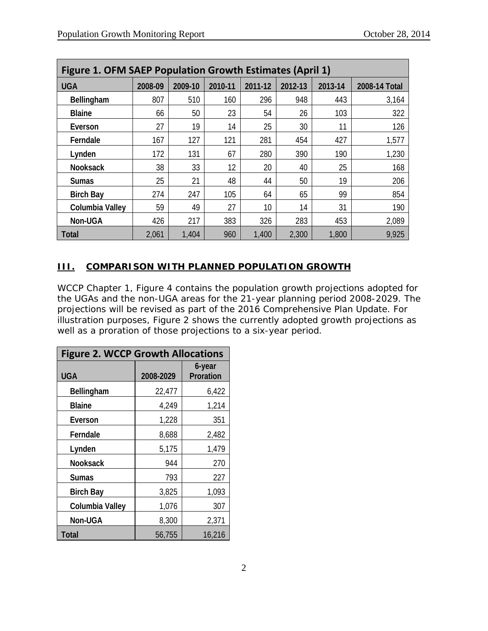| Figure 1. OFM SAEP Population Growth Estimates (April 1) |         |         |         |         |         |         |               |  |  |
|----------------------------------------------------------|---------|---------|---------|---------|---------|---------|---------------|--|--|
| <b>UGA</b>                                               | 2008-09 | 2009-10 | 2010-11 | 2011-12 | 2012-13 | 2013-14 | 2008-14 Total |  |  |
| Bellingham                                               | 807     | 510     | 160     | 296     | 948     | 443     | 3,164         |  |  |
| <b>Blaine</b>                                            | 66      | 50      | 23      | 54      | 26      | 103     | 322           |  |  |
| Everson                                                  | 27      | 19      | 14      | 25      | 30      | 11      | 126           |  |  |
| Ferndale                                                 | 167     | 127     | 121     | 281     | 454     | 427     | 1,577         |  |  |
| Lynden                                                   | 172     | 131     | 67      | 280     | 390     | 190     | 1,230         |  |  |
| <b>Nooksack</b>                                          | 38      | 33      | 12      | 20      | 40      | 25      | 168           |  |  |
| <b>Sumas</b>                                             | 25      | 21      | 48      | 44      | 50      | 19      | 206           |  |  |
| <b>Birch Bay</b>                                         | 274     | 247     | 105     | 64      | 65      | 99      | 854           |  |  |
| Columbia Valley                                          | 59      | 49      | 27      | 10      | 14      | 31      | 190           |  |  |
| Non-UGA                                                  | 426     | 217     | 383     | 326     | 283     | 453     | 2,089         |  |  |
| <b>Total</b>                                             | 2,061   | 1,404   | 960     | 1,400   | 2,300   | 1,800   | 9,925         |  |  |

## **III. COMPARISON WITH PLANNED POPULATION GROWTH**

WCCP Chapter 1, Figure 4 contains the population growth projections adopted for the UGAs and the non-UGA areas for the 21-year planning period 2008-2029. The projections will be revised as part of the 2016 Comprehensive Plan Update. For illustration purposes, Figure 2 shows the currently adopted growth projections as well as a proration of those projections to a six-year period.

| <b>Figure 2. WCCP Growth Allocations</b> |           |                     |  |  |  |
|------------------------------------------|-----------|---------------------|--|--|--|
| <b>UGA</b>                               | 2008-2029 | 6-year<br>Proration |  |  |  |
| Bellingham                               | 22,477    | 6,422               |  |  |  |
| <b>Blaine</b>                            | 4,249     | 1,214               |  |  |  |
| Everson                                  | 1,228     | 351                 |  |  |  |
| Ferndale                                 | 8,688     | 2,482               |  |  |  |
| Lynden                                   | 5,175     | 1,479               |  |  |  |
| <b>Nooksack</b>                          | 944       | 270                 |  |  |  |
| Sumas                                    | 793       | 227                 |  |  |  |
| <b>Birch Bay</b>                         | 3,825     | 1,093               |  |  |  |
| Columbia Valley                          | 1,076     | 307                 |  |  |  |
| Non-UGA                                  | 8,300     | 2,371               |  |  |  |
| <b>Total</b>                             | 56,755    | 16,216              |  |  |  |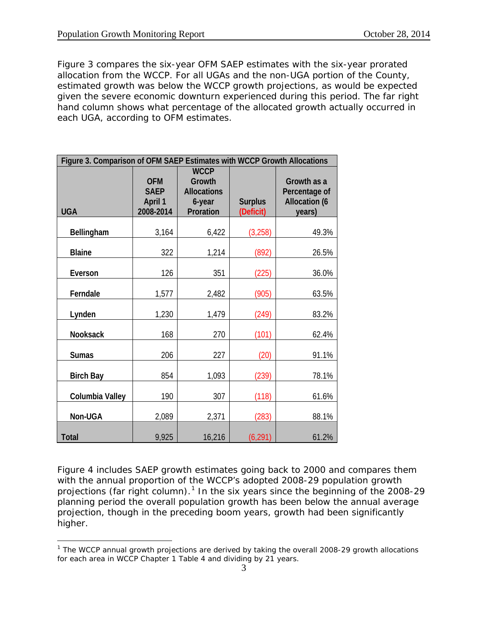$\overline{a}$ 

Figure 3 compares the six-year OFM SAEP estimates with the six-year prorated allocation from the WCCP. For all UGAs and the non-UGA portion of the County, estimated growth was below the WCCP growth projections, as would be expected given the severe economic downturn experienced during this period. The far right hand column shows what percentage of the allocated growth actually occurred in each UGA, according to OFM estimates.

| Figure 3. Comparison of OFM SAEP Estimates with WCCP Growth Allocations |                                                   |                                                                    |                             |                                                                |  |  |  |
|-------------------------------------------------------------------------|---------------------------------------------------|--------------------------------------------------------------------|-----------------------------|----------------------------------------------------------------|--|--|--|
| <b>UGA</b>                                                              | <b>OFM</b><br><b>SAEP</b><br>April 1<br>2008-2014 | <b>WCCP</b><br>Growth<br><b>Allocations</b><br>6-year<br>Proration | <b>Surplus</b><br>(Deficit) | Growth as a<br>Percentage of<br><b>Allocation (6</b><br>years) |  |  |  |
| Bellingham                                                              | 3,164                                             | 6,422                                                              | (3, 258)                    | 49.3%                                                          |  |  |  |
| <b>Blaine</b>                                                           | 322                                               | 1,214                                                              | (892)                       | 26.5%                                                          |  |  |  |
| Everson                                                                 | 126                                               | 351                                                                | (225)                       | 36.0%                                                          |  |  |  |
| Ferndale                                                                | 1,577                                             | 2,482                                                              | (905)                       | 63.5%                                                          |  |  |  |
| Lynden                                                                  | 1,230                                             | 1,479                                                              | (249)                       | 83.2%                                                          |  |  |  |
| Nooksack                                                                | 168                                               | 270                                                                | (101)                       | 62.4%                                                          |  |  |  |
| <b>Sumas</b>                                                            | 206                                               | 227                                                                | (20)                        | 91.1%                                                          |  |  |  |
| <b>Birch Bay</b>                                                        | 854                                               | 1,093                                                              | (239)                       | 78.1%                                                          |  |  |  |
| Columbia Valley                                                         | 190                                               | 307                                                                | (118)                       | 61.6%                                                          |  |  |  |
| Non-UGA                                                                 | 2,089                                             | 2,371                                                              | (283)                       | 88.1%                                                          |  |  |  |
| <b>Total</b>                                                            | 9,925                                             | 16,216                                                             | (6, 291)                    | 61.2%                                                          |  |  |  |

Figure 4 includes SAEP growth estimates going back to 2000 and compares them with the annual proportion of the WCCP's adopted 2008-29 population growth projections (far right column).<sup>[1](#page-2-0)</sup> In the six years since the beginning of the 2008-29 planning period the overall population growth has been below the annual average projection, though in the preceding boom years, growth had been significantly higher.

<span id="page-2-0"></span><sup>&</sup>lt;sup>1</sup> The WCCP annual growth projections are derived by taking the overall 2008-29 growth allocations for each area in WCCP Chapter 1 Table 4 and dividing by 21 years.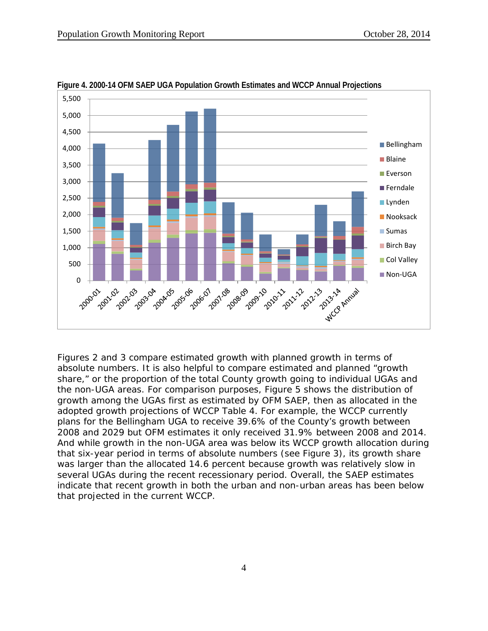

**Figure 4. 2000-14 OFM SAEP UGA Population Growth Estimates and WCCP Annual Projections**

Figures 2 and 3 compare estimated growth with planned growth in terms of absolute numbers. It is also helpful to compare estimated and planned "growth share," or the proportion of the total County growth going to individual UGAs and the non-UGA areas. For comparison purposes, Figure 5 shows the distribution of growth among the UGAs first as estimated by OFM SAEP, then as allocated in the adopted growth projections of WCCP Table 4. For example, the WCCP currently plans for the Bellingham UGA to receive 39.6% of the County's growth between 2008 and 2029 but OFM estimates it only received 31.9% between 2008 and 2014. And while growth in the non-UGA area was below its WCCP growth allocation during that six-year period in terms of absolute numbers (see Figure 3), its growth share was larger than the allocated 14.6 percent because growth was relatively slow in several UGAs during the recent recessionary period. Overall, the SAEP estimates indicate that recent growth in both the urban and non-urban areas has been below that projected in the current WCCP.